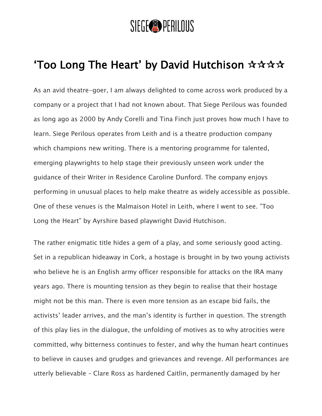## SIEGE<sup>®</sup>PERILOUS

## 'Too Long The Heart' by David Hutchison  $\mathbf{\hat{x}} \mathbf{\hat{x}} \mathbf{\hat{x}}$

As an avid theatre-goer, I am always delighted to come across work produced by a company or a project that I had not known about. That Siege Perilous was founded as long ago as 2000 by Andy Corelli and Tina Finch just proves how much I have to learn. Siege Perilous operates from Leith and is a theatre production company which champions new writing. There is a mentoring programme for talented, emerging playwrights to help stage their previously unseen work under the guidance of their Writer in Residence Caroline Dunford. The company enjoys performing in unusual places to help make theatre as widely accessible as possible. One of these venues is the Malmaison Hotel in Leith, where I went to see. "Too Long the Heart" by Ayrshire based playwright David Hutchison.

The rather enigmatic title hides a gem of a play, and some seriously good acting. Set in a republican hideaway in Cork, a hostage is brought in by two young activists who believe he is an English army officer responsible for attacks on the IRA many years ago. There is mounting tension as they begin to realise that their hostage might not be this man. There is even more tension as an escape bid fails, the activists' leader arrives, and the man's identity is further in question. The strength of this play lies in the dialogue, the unfolding of motives as to why atrocities were committed, why bitterness continues to fester, and why the human heart continues to believe in causes and grudges and grievances and revenge. All performances are utterly believable – Clare Ross as hardened Caitlin, permanently damaged by her